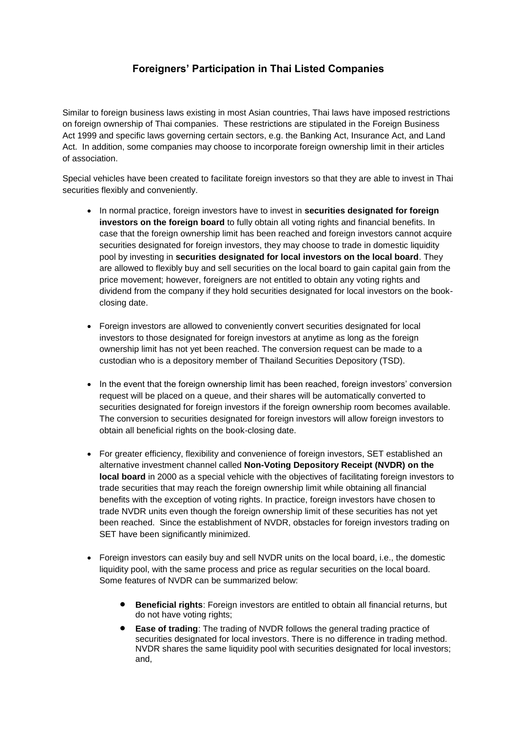## **Foreigners' Participation in Thai Listed Companies**

Similar to foreign business laws existing in most Asian countries, Thai laws have imposed restrictions on foreign ownership of Thai companies. These restrictions are stipulated in the Foreign Business Act 1999 and specific laws governing certain sectors, e.g. the Banking Act, Insurance Act, and Land Act. In addition, some companies may choose to incorporate foreign ownership limit in their articles of association.

Special vehicles have been created to facilitate foreign investors so that they are able to invest in Thai securities flexibly and conveniently.

- In normal practice, foreign investors have to invest in **securities designated for foreign investors on the foreign board** to fully obtain all voting rights and financial benefits. In case that the foreign ownership limit has been reached and foreign investors cannot acquire securities designated for foreign investors, they may choose to trade in domestic liquidity pool by investing in **securities designated for local investors on the local board**. They are allowed to flexibly buy and sell securities on the local board to gain capital gain from the price movement; however, foreigners are not entitled to obtain any voting rights and dividend from the company if they hold securities designated for local investors on the bookclosing date.
- Foreign investors are allowed to conveniently convert securities designated for local investors to those designated for foreign investors at anytime as long as the foreign ownership limit has not yet been reached. The conversion request can be made to a custodian who is a depository member of Thailand Securities Depository (TSD).
- In the event that the foreign ownership limit has been reached, foreign investors' conversion request will be placed on a queue, and their shares will be automatically converted to securities designated for foreign investors if the foreign ownership room becomes available. The conversion to securities designated for foreign investors will allow foreign investors to obtain all beneficial rights on the book-closing date.
- For greater efficiency, flexibility and convenience of foreign investors, SET established an alternative investment channel called **Non-Voting Depository Receipt (NVDR) on the local board** in 2000 as a special vehicle with the objectives of facilitating foreign investors to trade securities that may reach the foreign ownership limit while obtaining all financial benefits with the exception of voting rights. In practice, foreign investors have chosen to trade NVDR units even though the foreign ownership limit of these securities has not yet been reached. Since the establishment of NVDR, obstacles for foreign investors trading on SET have been significantly minimized.
- Foreign investors can easily buy and sell NVDR units on the local board, i.e., the domestic liquidity pool, with the same process and price as regular securities on the local board. Some features of NVDR can be summarized below:
	- **Beneficial rights**: Foreign investors are entitled to obtain all financial returns, but do not have voting rights;
	- **Ease of trading**: The trading of NVDR follows the general trading practice of securities designated for local investors. There is no difference in trading method. NVDR shares the same liquidity pool with securities designated for local investors; and,